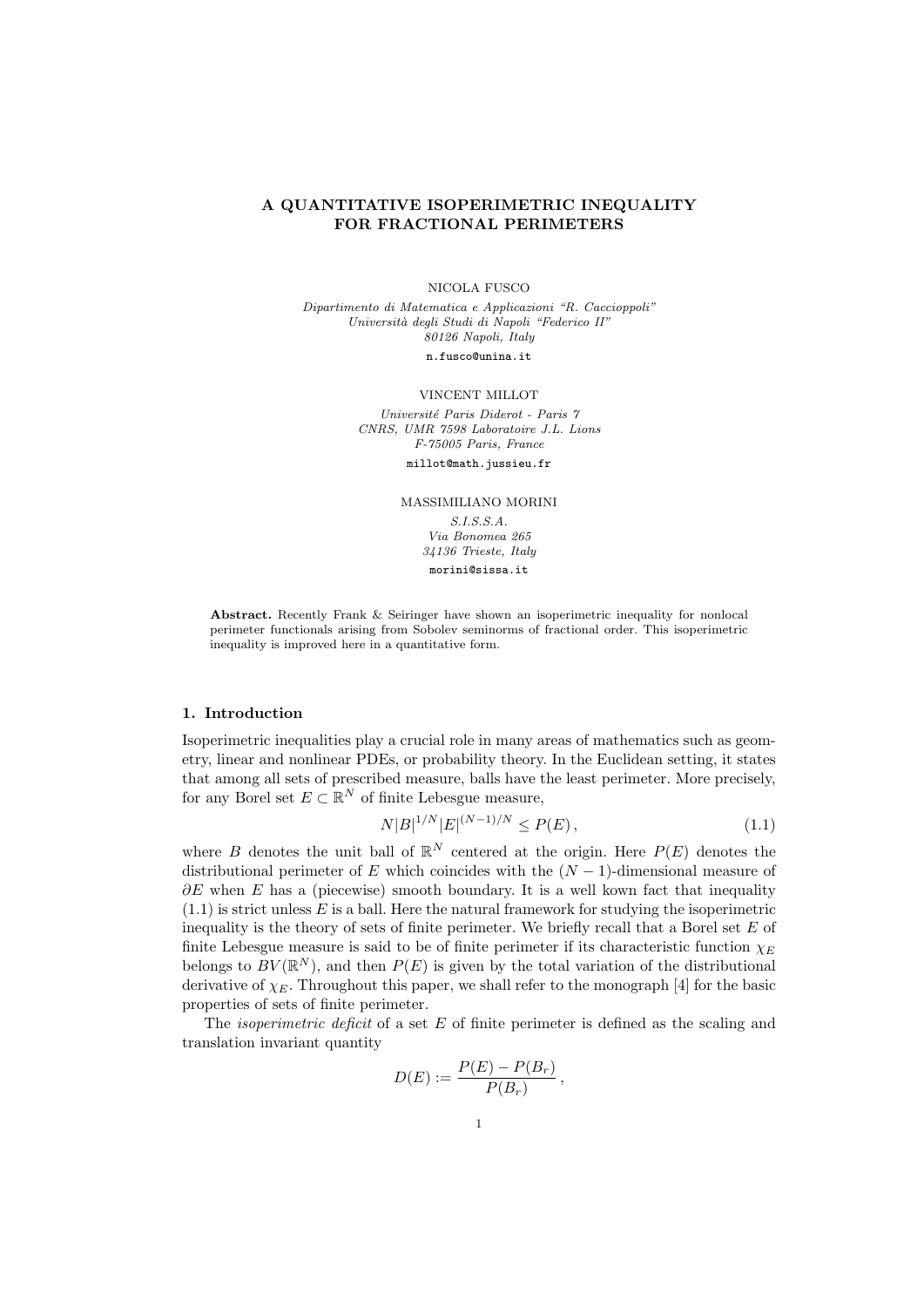# A QUANTITATIVE ISOPERIMETRIC INEQUALITY FOR FRACTIONAL PERIMETERS

#### NICOLA FUSCO

Dipartimento di Matematica e Applicazioni "R. Caccioppoli" Università degli Studi di Napoli "Federico II" 80126 Napoli, Italy n.fusco@unina.it

#### VINCENT MILLOT

Université Paris Diderot - Paris 7 CNRS, UMR 7598 Laboratoire J.L. Lions F-75005 Paris, France

millot@math.jussieu.fr

MASSIMILIANO MORINI

S.I.S.S.A. Via Bonomea 265 34136 Trieste, Italy morini@sissa.it

Abstract. Recently Frank & Seiringer have shown an isoperimetric inequality for nonlocal perimeter functionals arising from Sobolev seminorms of fractional order. This isoperimetric inequality is improved here in a quantitative form.

#### 1. Introduction

Isoperimetric inequalities play a crucial role in many areas of mathematics such as geometry, linear and nonlinear PDEs, or probability theory. In the Euclidean setting, it states that among all sets of prescribed measure, balls have the least perimeter. More precisely, for any Borel set  $E \subset \mathbb{R}^N$  of finite Lebesgue measure,

$$
N|B|^{1/N}|E|^{(N-1)/N} \le P(E)\,,\tag{1.1}
$$

where B denotes the unit ball of  $\mathbb{R}^N$  centered at the origin. Here  $P(E)$  denotes the distributional perimeter of E which coincides with the  $(N-1)$ -dimensional measure of  $\partial E$  when E has a (piecewise) smooth boundary. It is a well kown fact that inequality  $(1.1)$  is strict unless E is a ball. Here the natural framework for studying the isoperimetric inequality is the theory of sets of finite perimeter. We briefly recall that a Borel set  $E$  of finite Lebesgue measure is said to be of finite perimeter if its characteristic function  $\chi_E$ belongs to  $BV(\mathbb{R}^N)$ , and then  $P(E)$  is given by the total variation of the distributional derivative of  $\chi_E$ . Throughout this paper, we shall refer to the monograph [4] for the basic properties of sets of finite perimeter.

The *isoperimetric deficit* of a set  $E$  of finite perimeter is defined as the scaling and translation invariant quantity

$$
D(E) := \frac{P(E) - P(B_r)}{P(B_r)},
$$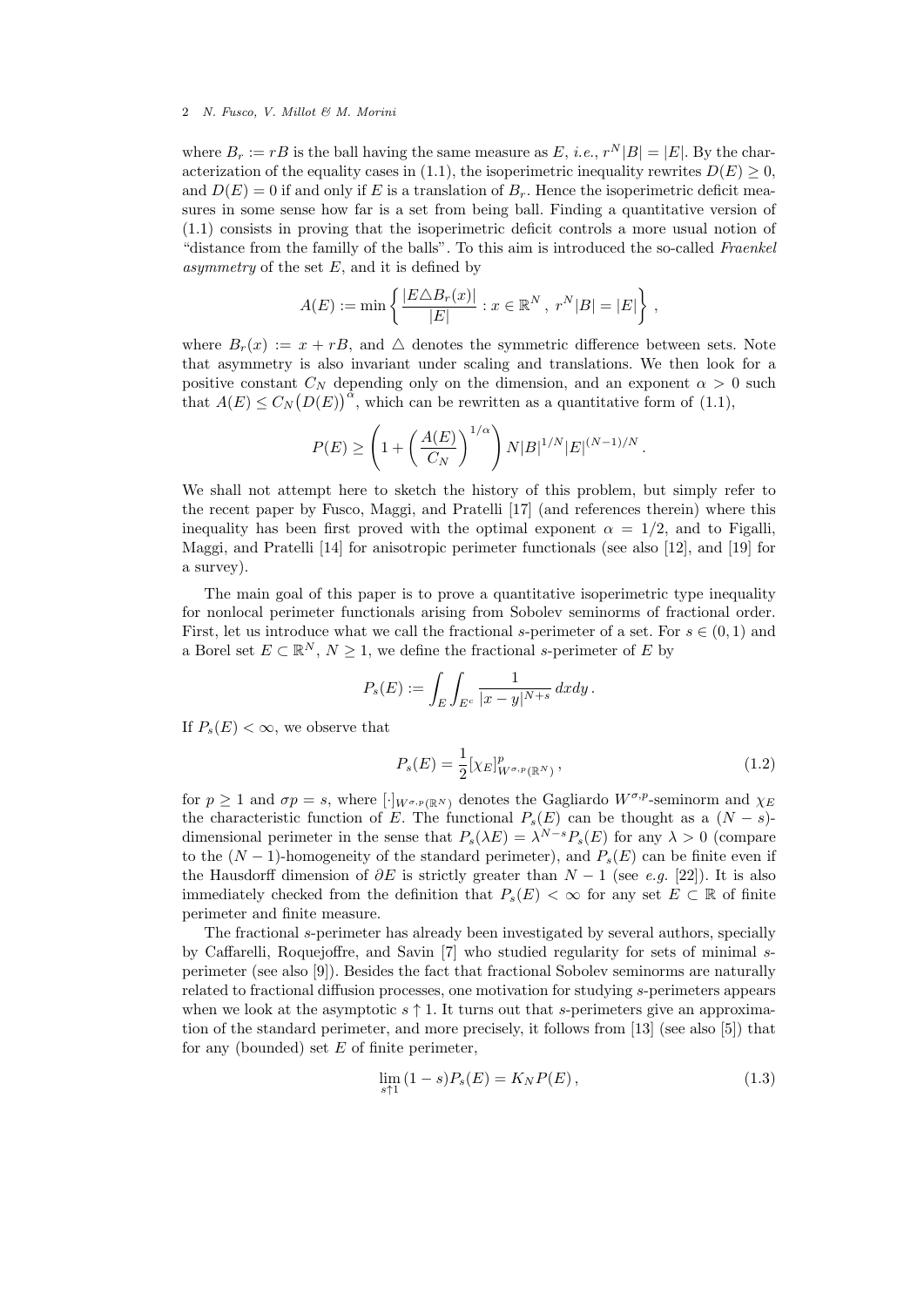where  $B_r := rB$  is the ball having the same measure as E, *i.e.*,  $r^N|B| = |E|$ . By the characterization of the equality cases in (1.1), the isoperimetric inequality rewrites  $D(E) \geq 0$ , and  $D(E) = 0$  if and only if E is a translation of  $B<sub>r</sub>$ . Hence the isoperimetric deficit measures in some sense how far is a set from being ball. Finding a quantitative version of (1.1) consists in proving that the isoperimetric deficit controls a more usual notion of "distance from the familly of the balls". To this aim is introduced the so-called Fraenkel asymmetry of the set  $E$ , and it is defined by

$$
A(E) := \min \left\{ \frac{|E \triangle B_r(x)|}{|E|} : x \in \mathbb{R}^N, \ r^N |B| = |E| \right\},\
$$

where  $B_r(x) := x + rB$ , and  $\triangle$  denotes the symmetric difference between sets. Note that asymmetry is also invariant under scaling and translations. We then look for a positive constant  $C_N$  depending only on the dimension, and an exponent  $\alpha > 0$  such that  $A(E) \leq C_N(D(E))^{\alpha}$ , which can be rewritten as a quantitative form of (1.1),

$$
P(E) \ge \left(1 + \left(\frac{A(E)}{C_N}\right)^{1/\alpha}\right)N|B|^{1/N}|E|^{(N-1)/N}.
$$

We shall not attempt here to sketch the history of this problem, but simply refer to the recent paper by Fusco, Maggi, and Pratelli [17] (and references therein) where this inequality has been first proved with the optimal exponent  $\alpha = 1/2$ , and to Figalli, Maggi, and Pratelli [14] for anisotropic perimeter functionals (see also [12], and [19] for a survey).

The main goal of this paper is to prove a quantitative isoperimetric type inequality for nonlocal perimeter functionals arising from Sobolev seminorms of fractional order. First, let us introduce what we call the fractional s-perimeter of a set. For  $s \in (0,1)$  and a Borel set  $E \subset \mathbb{R}^N$ ,  $N \geq 1$ , we define the fractional s-perimeter of E by

$$
P_s(E) := \int_E \int_{E^c} \frac{1}{|x - y|^{N+s}} dx dy.
$$

If  $P_{\rm s}(E) < \infty$ , we observe that

$$
P_s(E) = \frac{1}{2} [\chi_E]_{W^{\sigma, p}(\mathbb{R}^N)}^p, \qquad (1.2)
$$

for  $p \ge 1$  and  $\sigma p = s$ , where  $[\cdot]_{W^{\sigma,p}(\mathbb{R}^N)}$  denotes the Gagliardo  $W^{\sigma,p}$ -seminorm and  $\chi_E$ the characteristic function of E. The functional  $P_s(E)$  can be thought as a  $(N - s)$ dimensional perimeter in the sense that  $P_s(\lambda E) = \lambda^{N-s} P_s(E)$  for any  $\lambda > 0$  (compare to the  $(N-1)$ -homogeneity of the standard perimeter), and  $P_s(E)$  can be finite even if the Hausdorff dimension of  $\partial E$  is strictly greater than  $N-1$  (see e.g. [22]). It is also immediately checked from the definition that  $P_s(E) < \infty$  for any set  $E \subset \mathbb{R}$  of finite perimeter and finite measure.

The fractional s-perimeter has already been investigated by several authors, specially by Caffarelli, Roquejoffre, and Savin [7] who studied regularity for sets of minimal sperimeter (see also [9]). Besides the fact that fractional Sobolev seminorms are naturally related to fractional diffusion processes, one motivation for studying s-perimeters appears when we look at the asymptotic  $s \uparrow 1$ . It turns out that s-perimeters give an approximation of the standard perimeter, and more precisely, it follows from [13] (see also [5]) that for any (bounded) set  $E$  of finite perimeter,

$$
\lim_{s \uparrow 1} (1 - s) P_s(E) = K_N P(E), \tag{1.3}
$$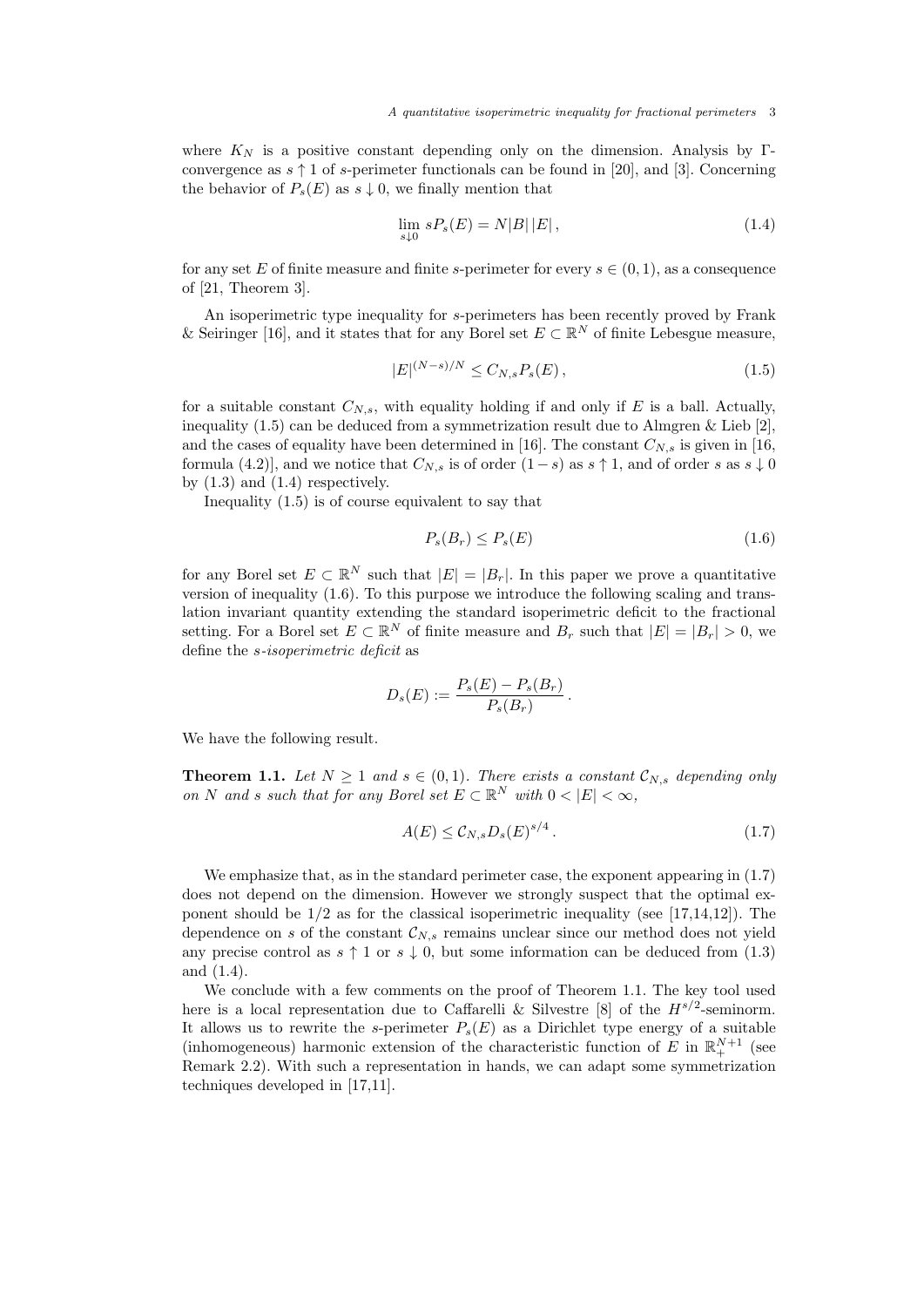where  $K_N$  is a positive constant depending only on the dimension. Analysis by Γconvergence as  $s \uparrow 1$  of s-perimeter functionals can be found in [20], and [3]. Concerning the behavior of  $P_s(E)$  as  $s \downarrow 0$ , we finally mention that

$$
\lim_{s \downarrow 0} sP_s(E) = N|B||E| \,, \tag{1.4}
$$

for any set E of finite measure and finite s-perimeter for every  $s \in (0, 1)$ , as a consequence of [21, Theorem 3].

An isoperimetric type inequality for s-perimeters has been recently proved by Frank & Seiringer [16], and it states that for any Borel set  $E \subset \mathbb{R}^N$  of finite Lebesgue measure,

$$
|E|^{(N-s)/N} \le C_{N,s} P_s(E), \tag{1.5}
$$

for a suitable constant  $C_{N,s}$ , with equality holding if and only if E is a ball. Actually, inequality  $(1.5)$  can be deduced from a symmetrization result due to Almgren & Lieb [2], and the cases of equality have been determined in [16]. The constant  $C_{N,s}$  is given in [16, formula (4.2)], and we notice that  $C_{N,s}$  is of order  $(1-s)$  as  $s \uparrow 1$ , and of order s as  $s \downarrow 0$ by  $(1.3)$  and  $(1.4)$  respectively.

Inequality (1.5) is of course equivalent to say that

$$
P_s(B_r) \le P_s(E) \tag{1.6}
$$

for any Borel set  $E \subset \mathbb{R}^N$  such that  $|E| = |B_r|$ . In this paper we prove a quantitative version of inequality (1.6). To this purpose we introduce the following scaling and translation invariant quantity extending the standard isoperimetric deficit to the fractional setting. For a Borel set  $E \subset \mathbb{R}^N$  of finite measure and  $B_r$  such that  $|E| = |B_r| > 0$ , we define the s-isoperimetric deficit as

$$
D_s(E) := \frac{P_s(E) - P_s(B_r)}{P_s(B_r)}.
$$

We have the following result.

**Theorem 1.1.** Let  $N \geq 1$  and  $s \in (0,1)$ . There exists a constant  $\mathcal{C}_{N,s}$  depending only on N and s such that for any Borel set  $E \subset \mathbb{R}^N$  with  $0 < |E| < \infty$ ,

$$
A(E) \leq \mathcal{C}_{N,s} D_s(E)^{s/4} \,. \tag{1.7}
$$

We emphasize that, as in the standard perimeter case, the exponent appearing in  $(1.7)$ does not depend on the dimension. However we strongly suspect that the optimal exponent should be  $1/2$  as for the classical isoperimetric inequality (see [17,14,12]). The dependence on s of the constant  $\mathcal{C}_{N,s}$  remains unclear since our method does not yield any precise control as  $s \uparrow 1$  or  $s \downarrow 0$ , but some information can be deduced from (1.3) and (1.4).

We conclude with a few comments on the proof of Theorem 1.1. The key tool used here is a local representation due to Caffarelli & Silvestre [8] of the  $H^{s/2}$ -seminorm. It allows us to rewrite the s-perimeter  $P_s(E)$  as a Dirichlet type energy of a suitable (inhomogeneous) harmonic extension of the characteristic function of E in  $\mathbb{R}^{N+1}_+$  (see Remark 2.2). With such a representation in hands, we can adapt some symmetrization techniques developed in [17,11].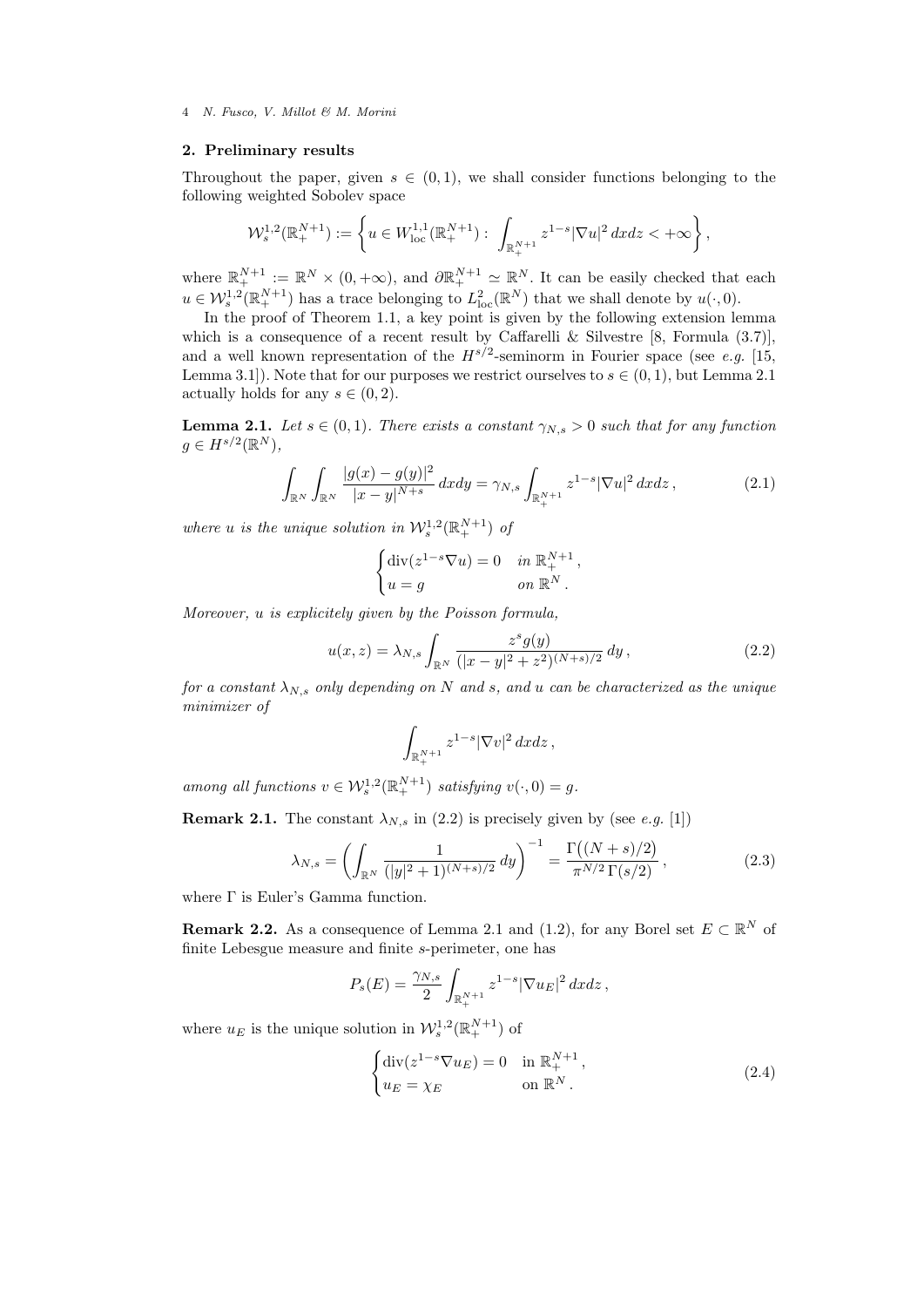## 2. Preliminary results

Throughout the paper, given  $s \in (0,1)$ , we shall consider functions belonging to the following weighted Sobolev space

$$
\mathcal{W}^{1,2}_s(\mathbb{R}^{N+1}_+) := \left\{ u \in W^{1,1}_{loc}(\mathbb{R}^{N+1}_+) : \int_{\mathbb{R}^{N+1}_+} z^{1-s} |\nabla u|^2 dx \, dz < +\infty \right\},
$$

where  $\mathbb{R}^{N+1}_{+} := \mathbb{R}^{N} \times (0, +\infty)$ , and  $\partial \mathbb{R}^{N+1}_{+} \simeq \mathbb{R}^{N}$ . It can be easily checked that each  $u \in \mathcal{W}_s^{1,2}(\mathbb{R}_+^{N+1})$  has a trace belonging to  $L^2_{\text{loc}}(\mathbb{R}^N)$  that we shall denote by  $u(\cdot,0)$ .

In the proof of Theorem 1.1, a key point is given by the following extension lemma which is a consequence of a recent result by Caffarelli & Silvestre  $[8,$  Formula  $(3.7)$ ], and a well known representation of the  $H^{s/2}$ -seminorm in Fourier space (see e.g. [15, Lemma 3.1]). Note that for our purposes we restrict ourselves to  $s \in (0, 1)$ , but Lemma 2.1 actually holds for any  $s \in (0, 2)$ .

**Lemma 2.1.** Let  $s \in (0,1)$ . There exists a constant  $\gamma_N$ ,  $> 0$  such that for any function  $g \in H^{s/2}(\mathbb{R}^N),$ 

$$
\int_{\mathbb{R}^N} \int_{\mathbb{R}^N} \frac{|g(x) - g(y)|^2}{|x - y|^{N + s}} \, dxdy = \gamma_{N,s} \int_{\mathbb{R}^{N+1}_+} z^{1 - s} |\nabla u|^2 \, dxdz \,, \tag{2.1}
$$

where u is the unique solution in  $\mathcal{W}^{1,2}_s(\mathbb{R}^{N+1}_+)$  of

$$
\begin{cases} \operatorname{div}(z^{1-s}\nabla u) = 0 & \text{in } \mathbb{R}^{N+1}_+, \\ u = g & \text{on } \mathbb{R}^N. \end{cases}
$$

Moreover, u is explicitely given by the Poisson formula,

$$
u(x,z) = \lambda_{N,s} \int_{\mathbb{R}^N} \frac{z^s g(y)}{(|x-y|^2 + z^2)^{(N+s)/2}} dy,
$$
\n(2.2)

for a constant  $\lambda_{N,s}$  only depending on N and s, and u can be characterized as the unique minimizer of

$$
\int_{\mathbb{R}^{N+1}_+} z^{1-s} |\nabla v|^2 dx dz,
$$

among all functions  $v \in \mathcal{W}_s^{1,2}(\mathbb{R}_+^{N+1})$  satisfying  $v(\cdot,0) = g$ .

**Remark 2.1.** The constant  $\lambda_{N,s}$  in (2.2) is precisely given by (see e.g. [1])

$$
\lambda_{N,s} = \left( \int_{\mathbb{R}^N} \frac{1}{(|y|^2 + 1)^{(N+s)/2}} \, dy \right)^{-1} = \frac{\Gamma((N+s)/2)}{\pi^{N/2} \, \Gamma(s/2)},\tag{2.3}
$$

where Γ is Euler's Gamma function.

**Remark 2.2.** As a consequence of Lemma 2.1 and (1.2), for any Borel set  $E \subset \mathbb{R}^N$  of finite Lebesgue measure and finite s-perimeter, one has

$$
P_s(E) = \frac{\gamma_{N,s}}{2} \int_{\mathbb{R}^{N+1}_+} z^{1-s} |\nabla u_E|^2 dx dz,
$$

where  $u_E$  is the unique solution in  $\mathcal{W}^{1,2}_s(\mathbb{R}^{N+1}_+)$  of

$$
\begin{cases} \operatorname{div}(z^{1-s}\nabla u_E) = 0 & \text{in } \mathbb{R}_+^{N+1}, \\ u_E = \chi_E & \text{on } \mathbb{R}^N. \end{cases}
$$
 (2.4)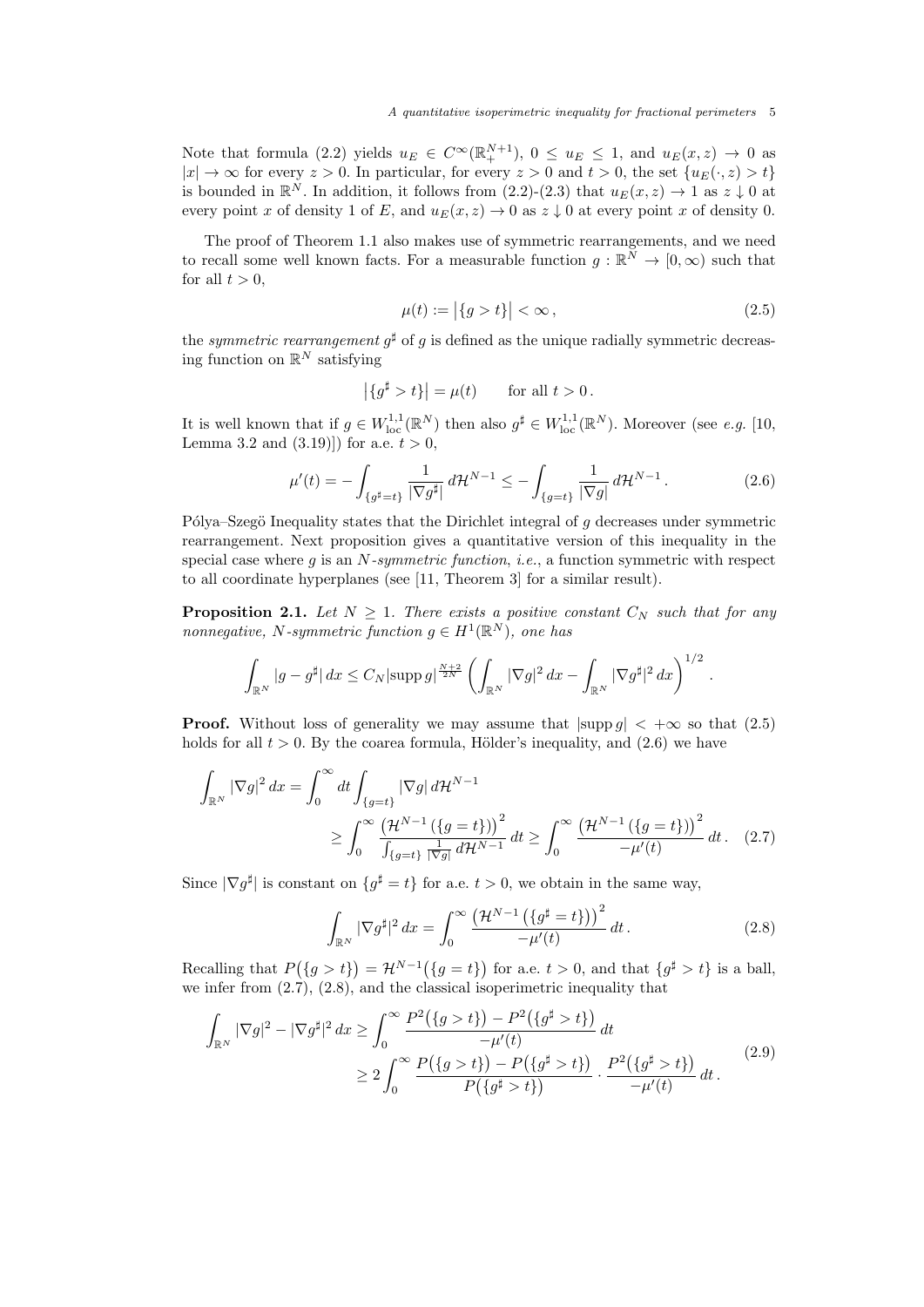Note that formula (2.2) yields  $u_E \in C^{\infty}(\mathbb{R}^{N+1}_+), 0 \le u_E \le 1$ , and  $u_E(x, z) \to 0$  as  $|x| \to \infty$  for every  $z > 0$ . In particular, for every  $z > 0$  and  $t > 0$ , the set  $\{u_E(\cdot, z) > t\}$ is bounded in  $\mathbb{R}^N$ . In addition, it follows from  $(2.2)-(2.3)$  that  $u_E(x, z) \to 1$  as  $z \downarrow 0$  at every point x of density 1 of E, and  $u_E(x, z) \rightarrow 0$  as  $z \downarrow 0$  at every point x of density 0.

The proof of Theorem 1.1 also makes use of symmetric rearrangements, and we need to recall some well known facts. For a measurable function  $g: \mathbb{R}^N \to [0, \infty)$  such that for all  $t > 0$ ,

$$
\mu(t) := |\{g > t\}| < \infty, \tag{2.5}
$$

.

the *symmetric rearrangement*  $g^{\sharp}$  of g is defined as the unique radially symmetric decreasing function on  $\mathbb{R}^N$  satisfying

$$
|\{g^{\sharp} > t\}| = \mu(t) \quad \text{for all } t > 0.
$$

It is well known that if  $g \in W^{1,1}_{loc}(\mathbb{R}^N)$  then also  $g^{\sharp} \in W^{1,1}_{loc}(\mathbb{R}^N)$ . Moreover (see *e.g.* [10, Lemma 3.2 and  $(3.19)$ ] for a.e.  $t > 0$ ,

$$
\mu'(t) = -\int_{\{g^\sharp = t\}} \frac{1}{|\nabla g^\sharp|} \, d\mathcal{H}^{N-1} \le -\int_{\{g = t\}} \frac{1}{|\nabla g|} \, d\mathcal{H}^{N-1} \,. \tag{2.6}
$$

Pólya–Szegö Inequality states that the Dirichlet integral of q decreases under symmetric rearrangement. Next proposition gives a quantitative version of this inequality in the special case where g is an  $N$ -symmetric function, i.e., a function symmetric with respect to all coordinate hyperplanes (see [11, Theorem 3] for a similar result).

**Proposition 2.1.** Let  $N \geq 1$ . There exists a positive constant  $C_N$  such that for any nonnegative, N-symmetric function  $g \in H^1(\mathbb{R}^N)$ , one has

$$
\int_{\mathbb{R}^N} |g - g^\sharp| \, dx \le C_N |\text{supp } g|^\frac{N+2}{2N} \left( \int_{\mathbb{R}^N} |\nabla g|^2 \, dx - \int_{\mathbb{R}^N} |\nabla g^\sharp|^2 \, dx \right)^{1/2}
$$

**Proof.** Without loss of generality we may assume that  $|\text{supp } g| < +\infty$  so that (2.5) holds for all  $t > 0$ . By the coarea formula, Hölder's inequality, and  $(2.6)$  we have

$$
\int_{\mathbb{R}^N} |\nabla g|^2 \, dx = \int_0^\infty dt \int_{\{g=t\}} |\nabla g| \, d\mathcal{H}^{N-1}
$$
\n
$$
\geq \int_0^\infty \frac{\left(\mathcal{H}^{N-1}\left(\{g=t\}\right)\right)^2}{\int_{\{g=t\}} \frac{1}{|\nabla g|} \, d\mathcal{H}^{N-1}} \, dt \geq \int_0^\infty \frac{\left(\mathcal{H}^{N-1}\left(\{g=t\}\right)\right)^2}{-\mu'(t)} \, dt. \tag{2.7}
$$

Since  $|\nabla g^{\sharp}|$  is constant on  $\{g^{\sharp} = t\}$  for a.e.  $t > 0$ , we obtain in the same way,

$$
\int_{\mathbb{R}^N} |\nabla g^\sharp|^2 dx = \int_0^\infty \frac{\left(\mathcal{H}^{N-1}\left(\{g^\sharp = t\}\right)\right)^2}{-\mu'(t)} dt.
$$
\n(2.8)

Recalling that  $P({g > t}) = \mathcal{H}^{N-1}({g = t})$  for a.e.  $t > 0$ , and that  ${g^{\sharp} > t}$  is a ball, we infer from (2.7), (2.8), and the classical isoperimetric inequality that

$$
\int_{\mathbb{R}^N} |\nabla g|^2 - |\nabla g^{\sharp}|^2 dx \ge \int_0^{\infty} \frac{P^2(\{g > t\}) - P^2(\{g^{\sharp} > t\})}{-\mu'(t)} dt
$$
  
\n
$$
\ge 2 \int_0^{\infty} \frac{P(\{g > t\}) - P(\{g^{\sharp} > t\})}{P(\{g^{\sharp} > t\})} \cdot \frac{P^2(\{g^{\sharp} > t\})}{-\mu'(t)} dt.
$$
\n(2.9)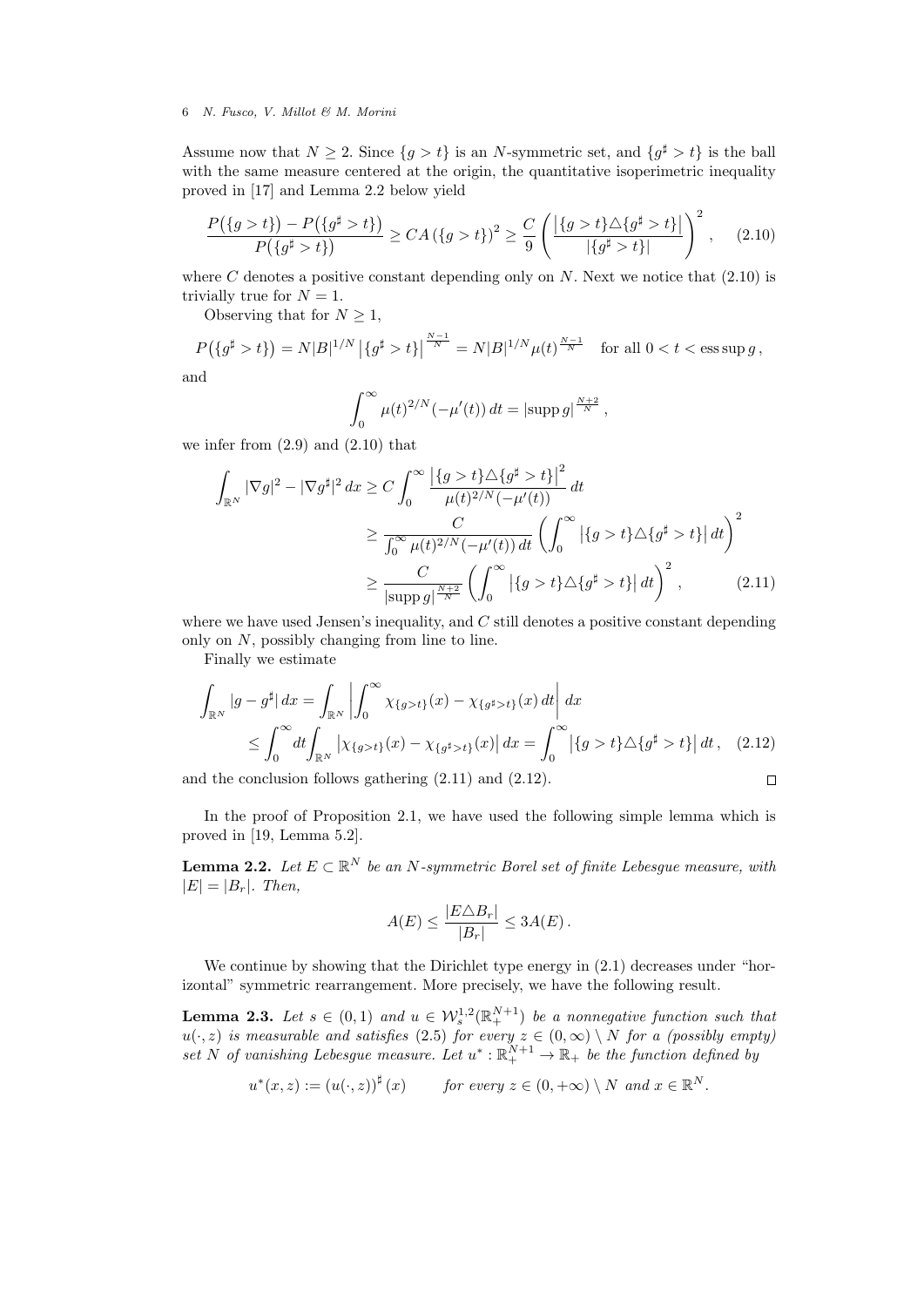Assume now that  $N \geq 2$ . Since  $\{g > t\}$  is an N-symmetric set, and  $\{g^{\sharp} > t\}$  is the ball with the same measure centered at the origin, the quantitative isoperimetric inequality proved in [17] and Lemma 2.2 below yield

$$
\frac{P(\{g > t\}) - P(\{g^{\sharp} > t\})}{P(\{g^{\sharp} > t\})} \ge CA(\{g > t\})^2 \ge \frac{C}{9} \left( \frac{|\{g > t\} \triangle \{g^{\sharp} > t\}|}{|\{g^{\sharp} > t\}|} \right)^2, \quad (2.10)
$$

where C denotes a positive constant depending only on  $N$ . Next we notice that  $(2.10)$  is trivially true for  $N = 1$ .

Observing that for  $N \geq 1$ ,

$$
P(\{g^{\sharp} > t\}) = N|B|^{1/N} |\{g^{\sharp} > t\}|^{\frac{N-1}{N}} = N|B|^{1/N} \mu(t)^{\frac{N-1}{N}} \quad \text{for all } 0 < t < \text{ess}\sup g,
$$

and

$$
\int_0^{\infty} \mu(t)^{2/N} (-\mu'(t)) dt = |\text{supp } g|^{\frac{N+2}{N}},
$$

we infer from  $(2.9)$  and  $(2.10)$  that

$$
\int_{\mathbb{R}^N} |\nabla g|^2 - |\nabla g^{\sharp}|^2 dx \ge C \int_0^{\infty} \frac{\left| \{ g > t \} \triangle \{ g^{\sharp} > t \} \right|^2}{\mu(t)^{2/N} (-\mu'(t))} dt
$$
\n
$$
\ge \frac{C}{\int_0^{\infty} \mu(t)^{2/N} (-\mu'(t)) dt} \left( \int_0^{\infty} \left| \{ g > t \} \triangle \{ g^{\sharp} > t \} \right| dt \right)^2
$$
\n
$$
\ge \frac{C}{|\text{supp } g|^{\frac{N+2}{N}}} \left( \int_0^{\infty} \left| \{ g > t \} \triangle \{ g^{\sharp} > t \} \right| dt \right)^2, \tag{2.11}
$$

where we have used Jensen's inequality, and  $C$  still denotes a positive constant depending only on N, possibly changing from line to line.

Finally we estimate

$$
\int_{\mathbb{R}^N} |g - g^{\sharp}| dx = \int_{\mathbb{R}^N} \left| \int_0^{\infty} \chi_{\{g > t\}}(x) - \chi_{\{g^{\sharp} > t\}}(x) dt \right| dx
$$
\n
$$
\leq \int_0^{\infty} dt \int_{\mathbb{R}^N} \left| \chi_{\{g > t\}}(x) - \chi_{\{g^{\sharp} > t\}}(x) \right| dx = \int_0^{\infty} \left| \{g > t\} \triangle \{g^{\sharp} > t\} \right| dt, \quad (2.12)
$$

and the conclusion follows gathering (2.11) and (2.12).

$$
\Box
$$

In the proof of Proposition 2.1, we have used the following simple lemma which is proved in [19, Lemma 5.2].

**Lemma 2.2.** Let  $E \subset \mathbb{R}^N$  be an N-symmetric Borel set of finite Lebesgue measure, with  $|E| = |B_r|$ . Then,

$$
A(E) \le \frac{|E \triangle B_r|}{|B_r|} \le 3A(E).
$$

We continue by showing that the Dirichlet type energy in  $(2.1)$  decreases under "horizontal" symmetric rearrangement. More precisely, we have the following result.

**Lemma 2.3.** Let  $s \in (0,1)$  and  $u \in W_s^{1,2}(\mathbb{R}_+^{N+1})$  be a nonnegative function such that  $u(\cdot, z)$  is measurable and satisfies (2.5) for every  $z \in (0, \infty) \setminus N$  for a (possibly empty) set N of vanishing Lebesgue measure. Let  $u^*: \mathbb{R}^{N+1}_+ \to \mathbb{R}_+$  be the function defined by

$$
u^*(x, z) := (u(\cdot, z))^{\sharp}(x)
$$
 for every  $z \in (0, +\infty) \setminus N$  and  $x \in \mathbb{R}^N$ .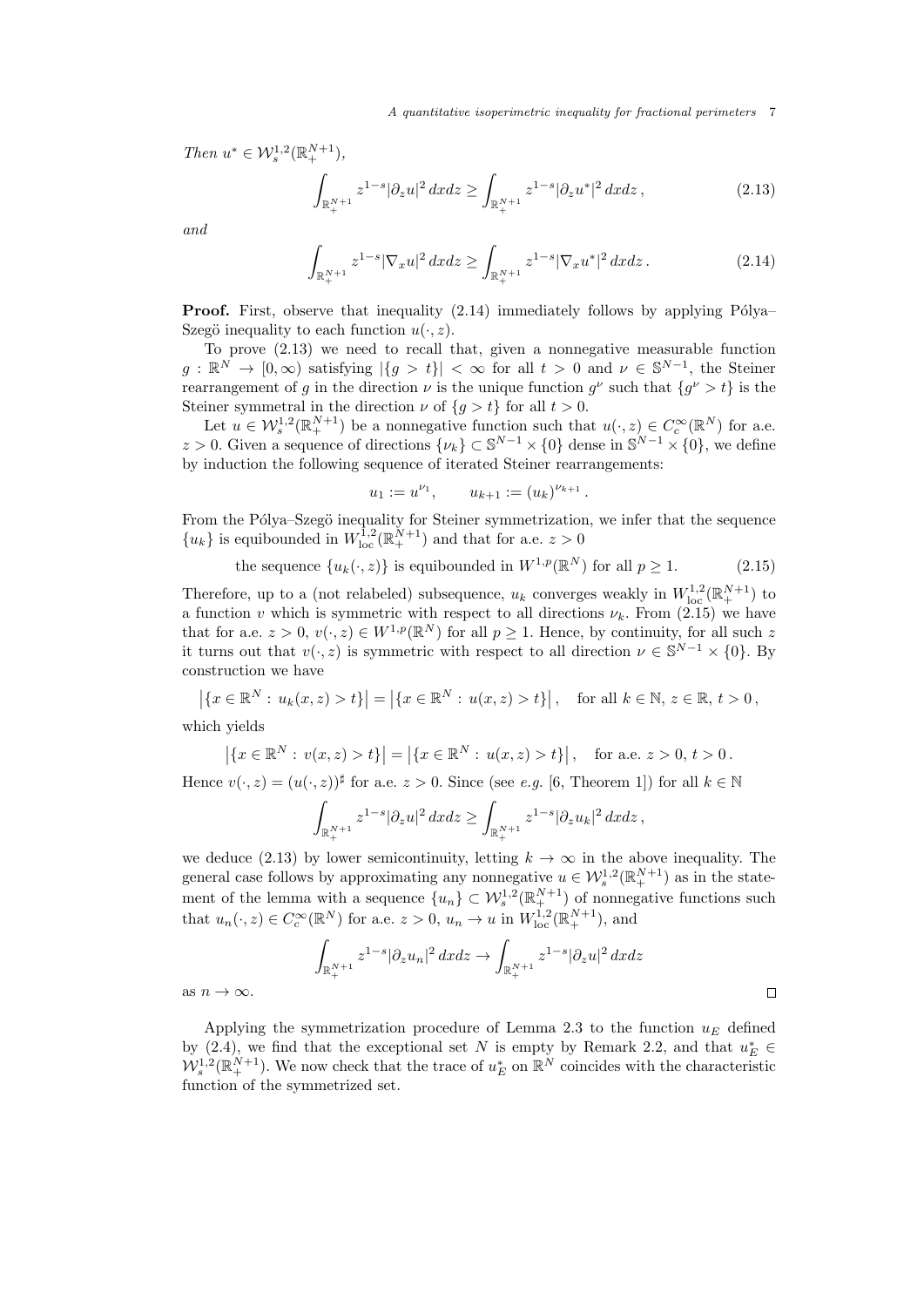Then  $u^* \in \mathcal{W}^{1,2}_s(\mathbb{R}^{N+1}_+),$ 

$$
\int_{\mathbb{R}^{N+1}_+} z^{1-s} |\partial_z u|^2 \, dx dz \ge \int_{\mathbb{R}^{N+1}_+} z^{1-s} |\partial_z u^*|^2 \, dx dz \,, \tag{2.13}
$$

and

$$
\int_{\mathbb{R}^{N+1}_+} z^{1-s} |\nabla_x u|^2 \, dx \, dz \ge \int_{\mathbb{R}^{N+1}_+} z^{1-s} |\nabla_x u^*|^2 \, dx \, dz \,. \tag{2.14}
$$

**Proof.** First, observe that inequality  $(2.14)$  immediately follows by applying Pólya– Szegö inequality to each function  $u(\cdot, z)$ .

To prove (2.13) we need to recall that, given a nonnegative measurable function  $g: \mathbb{R}^N \to [0,\infty)$  satisfying  $|\{g > t\}| < \infty$  for all  $t > 0$  and  $\nu \in \mathbb{S}^{N-1}$ , the Steiner rearrangement of g in the direction  $\nu$  is the unique function  $g^{\nu}$  such that  $\{g^{\nu} > t\}$  is the Steiner symmetral in the direction  $\nu$  of  $\{g > t\}$  for all  $t > 0$ .

Let  $u \in \mathcal{W}^{1,2}_s(\mathbb{R}^{N+1}_+)$  be a nonnegative function such that  $u(\cdot,z) \in C_c^{\infty}(\mathbb{R}^N)$  for a.e. z > 0. Given a sequence of directions  $\{\nu_k\} \subset \mathbb{S}^{N-1} \times \{0\}$  dense in  $\mathbb{S}^{N-1} \times \{0\}$ , we define by induction the following sequence of iterated Steiner rearrangements:

$$
u_1 := u^{\nu_1}, \qquad u_{k+1} := (u_k)^{\nu_{k+1}}.
$$

From the Pólya–Szegö inequality for Steiner symmetrization, we infer that the sequence  ${u_k}$  is equibounded in  $W_{\text{loc}}^{1,2}(\mathbb{R}^{N+1})$  and that for a.e.  $z > 0$ 

the sequence 
$$
\{u_k(\cdot, z)\}
$$
 is equibounded in  $W^{1,p}(\mathbb{R}^N)$  for all  $p \ge 1$ . (2.15)

Therefore, up to a (not relabeled) subsequence,  $u_k$  converges weakly in  $W^{1,2}_{loc}(\mathbb{R}^{N+1}_+)$  to a function v which is symmetric with respect to all directions  $\nu_k$ . From (2.15) we have that for a.e.  $z > 0$ ,  $v(\cdot, z) \in W^{1,p}(\mathbb{R}^N)$  for all  $p \ge 1$ . Hence, by continuity, for all such z it turns out that  $v(\cdot, z)$  is symmetric with respect to all direction  $\nu \in \mathbb{S}^{N-1} \times \{0\}$ . By construction we have

$$
\left| \{ x \in \mathbb{R}^N : u_k(x, z) > t \} \right| = \left| \{ x \in \mathbb{R}^N : u(x, z) > t \} \right|, \text{ for all } k \in \mathbb{N}, z \in \mathbb{R}, t > 0,
$$

which yields

$$
\left| \{ x \in \mathbb{R}^N : v(x, z) > t \} \right| = \left| \{ x \in \mathbb{R}^N : u(x, z) > t \} \right|, \text{ for a.e. } z > 0, t > 0.
$$

Hence  $v(\cdot, z) = (u(\cdot, z))^{\sharp}$  for a.e.  $z > 0$ . Since (see e.g. [6, Theorem 1]) for all  $k \in \mathbb{N}$ 

$$
\int_{\mathbb{R}^{N+1}_+} z^{1-s} |\partial_z u|^2 dx dz \ge \int_{\mathbb{R}^{N+1}_+} z^{1-s} |\partial_z u_k|^2 dx dz,
$$

we deduce (2.13) by lower semicontinuity, letting  $k \to \infty$  in the above inequality. The general case follows by approximating any nonnegative  $u \in \mathcal{W}^{1,2}_s(\mathbb{R}^{N+1}_+)$  as in the statement of the lemma with a sequence  ${u_n} \subset \mathcal{W}_s^{1,2}(\mathbb{R}_+^{N+1})$  of nonnegative functions such that  $u_n(\cdot, z) \in C_c^{\infty}(\mathbb{R}^N)$  for a.e.  $z > 0$ ,  $u_n \to u$  in  $W^{1,2}_{loc}(\mathbb{R}^{N+1}_+)$ , and

$$
\int_{\mathbb{R}^{N+1}_{+}} z^{1-s} |\partial_{z} u_{n}|^{2} dx dz \to \int_{\mathbb{R}^{N+1}_{+}} z^{1-s} |\partial_{z} u|^{2} dx dz
$$

 $\Box$ 

as  $n \to \infty$ .

Applying the symmetrization procedure of Lemma 2.3 to the function  $u_E$  defined by (2.4), we find that the exceptional set N is empty by Remark 2.2, and that  $u_E^* \in$  $W_s^{1,2}(\mathbb{R}^{N+1}_+)$ . We now check that the trace of  $u_E^*$  on  $\mathbb{R}^N$  coincides with the characteristic function of the symmetrized set.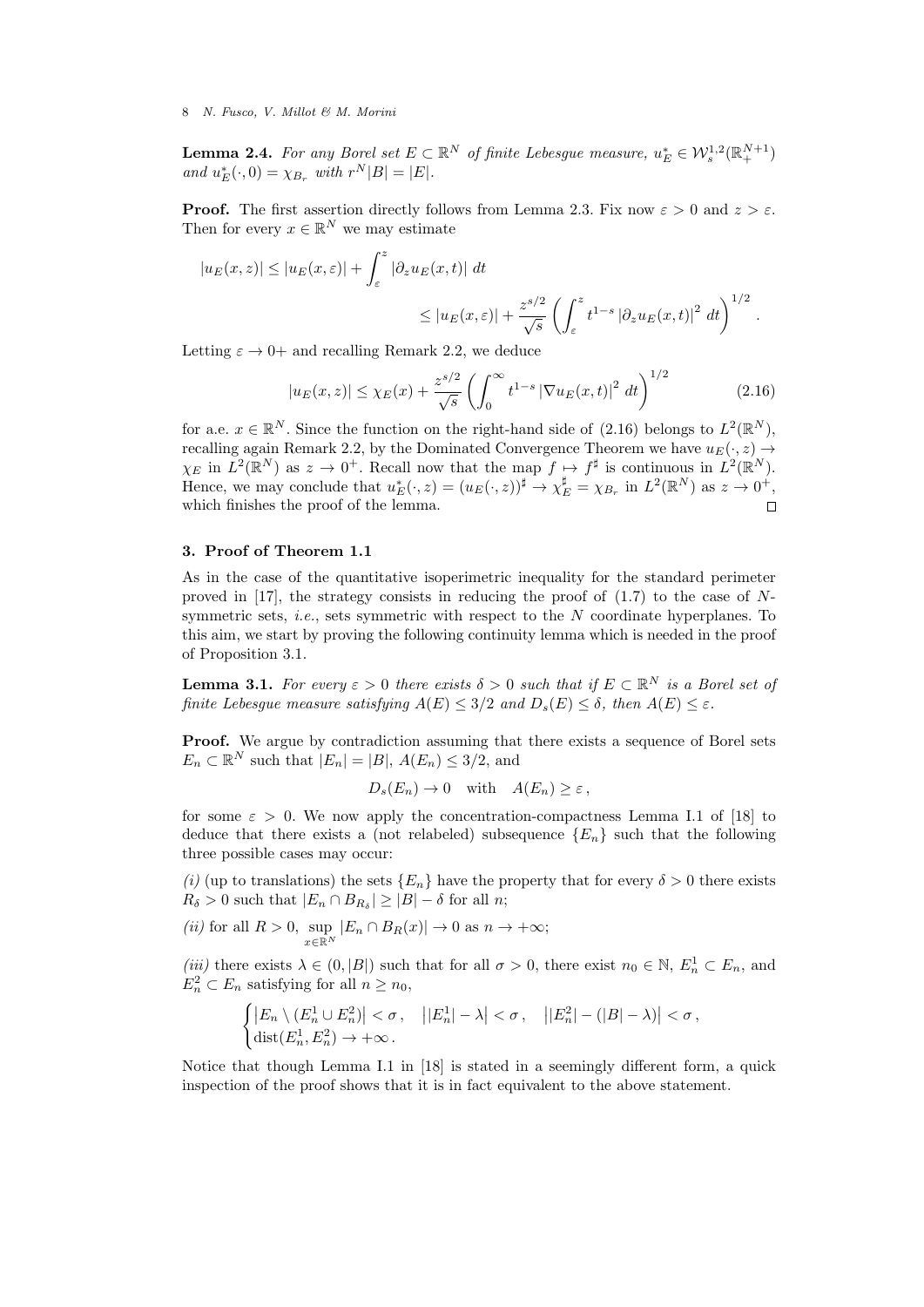**Lemma 2.4.** For any Borel set  $E \subset \mathbb{R}^N$  of finite Lebesgue measure,  $u_E^* \in \mathcal{W}^{1,2}_s(\mathbb{R}^{N+1}_+)$ and  $u_E^*(\cdot,0) = \chi_{B_r}$  with  $r^N|B| = |E|.$ 

**Proof.** The first assertion directly follows from Lemma 2.3. Fix now  $\varepsilon > 0$  and  $z > \varepsilon$ . Then for every  $x \in \mathbb{R}^N$  we may estimate

$$
|u_E(x, z)| \le |u_E(x, \varepsilon)| + \int_{\varepsilon}^z |\partial_z u_E(x, t)| dt
$$
  
 
$$
\le |u_E(x, \varepsilon)| + \frac{z^{s/2}}{\sqrt{s}} \left( \int_{\varepsilon}^z t^{1-s} |\partial_z u_E(x, t)|^2 dt \right)^{1/2}.
$$

Letting  $\varepsilon \to 0^+$  and recalling Remark 2.2, we deduce

$$
|u_E(x,z)| \le \chi_E(x) + \frac{z^{s/2}}{\sqrt{s}} \left( \int_0^\infty t^{1-s} \left| \nabla u_E(x,t) \right|^2 dt \right)^{1/2} \tag{2.16}
$$

for a.e.  $x \in \mathbb{R}^N$ . Since the function on the right-hand side of (2.16) belongs to  $L^2(\mathbb{R}^N)$ , recalling again Remark 2.2, by the Dominated Convergence Theorem we have  $u_E(\cdot, z) \rightarrow$  $\chi_E$  in  $L^2(\mathbb{R}^N)$  as  $z \to 0^+$ . Recall now that the map  $f \mapsto f^{\sharp}$  is continuous in  $L^2(\mathbb{R}^N)$ . Hence, we may conclude that  $u_E^*(\cdot, z) = (u_E(\cdot, z))^{\sharp} \to \chi_E^{\sharp} = \chi_{B_r}$  in  $L^2(\mathbb{R}^N)$  as  $z \to 0^+,$ which finishes the proof of the lemma.

# 3. Proof of Theorem 1.1

As in the case of the quantitative isoperimetric inequality for the standard perimeter proved in  $[17]$ , the strategy consists in reducing the proof of  $(1.7)$  to the case of Nsymmetric sets, *i.e.*, sets symmetric with respect to the  $N$  coordinate hyperplanes. To this aim, we start by proving the following continuity lemma which is needed in the proof of Proposition 3.1.

**Lemma 3.1.** For every  $\varepsilon > 0$  there exists  $\delta > 0$  such that if  $E \subset \mathbb{R}^N$  is a Borel set of finite Lebesgue measure satisfying  $A(E) \leq 3/2$  and  $D_s(E) \leq \delta$ , then  $A(E) \leq \varepsilon$ .

Proof. We argue by contradiction assuming that there exists a sequence of Borel sets  $E_n \subset \mathbb{R}^N$  such that  $|E_n| = |B|, A(E_n) \leq 3/2$ , and

$$
D_s(E_n) \to 0
$$
 with  $A(E_n) \geq \varepsilon$ ,

for some  $\varepsilon > 0$ . We now apply the concentration-compactness Lemma I.1 of [18] to deduce that there exists a (not relabeled) subsequence  ${E_n}$  such that the following three possible cases may occur:

(i) (up to translations) the sets  ${E_n}$  have the property that for every  $\delta > 0$  there exists  $R_{\delta} > 0$  such that  $|E_n \cap B_{R_{\delta}}| \geq |B| - \delta$  for all *n*;

(*ii*) for all 
$$
R > 0
$$
,  $\sup_{x \in \mathbb{R}^N} |E_n \cap B_R(x)| \to 0$  as  $n \to +\infty$ ;

(iii) there exists  $\lambda \in (0, |B|)$  such that for all  $\sigma > 0$ , there exist  $n_0 \in \mathbb{N}$ ,  $E_n^1 \subset E_n$ , and  $E_n^2 \subset E_n$  satisfying for all  $n \geq n_0$ ,

$$
\begin{cases} \left|E_n\setminus (E_n^1\cup E_n^2)\right|<\sigma\,,&\left||E_n^1|-\lambda\right|<\sigma\,,&\left||E_n^2|-(|B|-\lambda)\right|<\sigma\,,\\ \mathrm{dist}(E_n^1,E_n^2)\to+\infty\,.\end{cases}
$$

Notice that though Lemma I.1 in [18] is stated in a seemingly different form, a quick inspection of the proof shows that it is in fact equivalent to the above statement.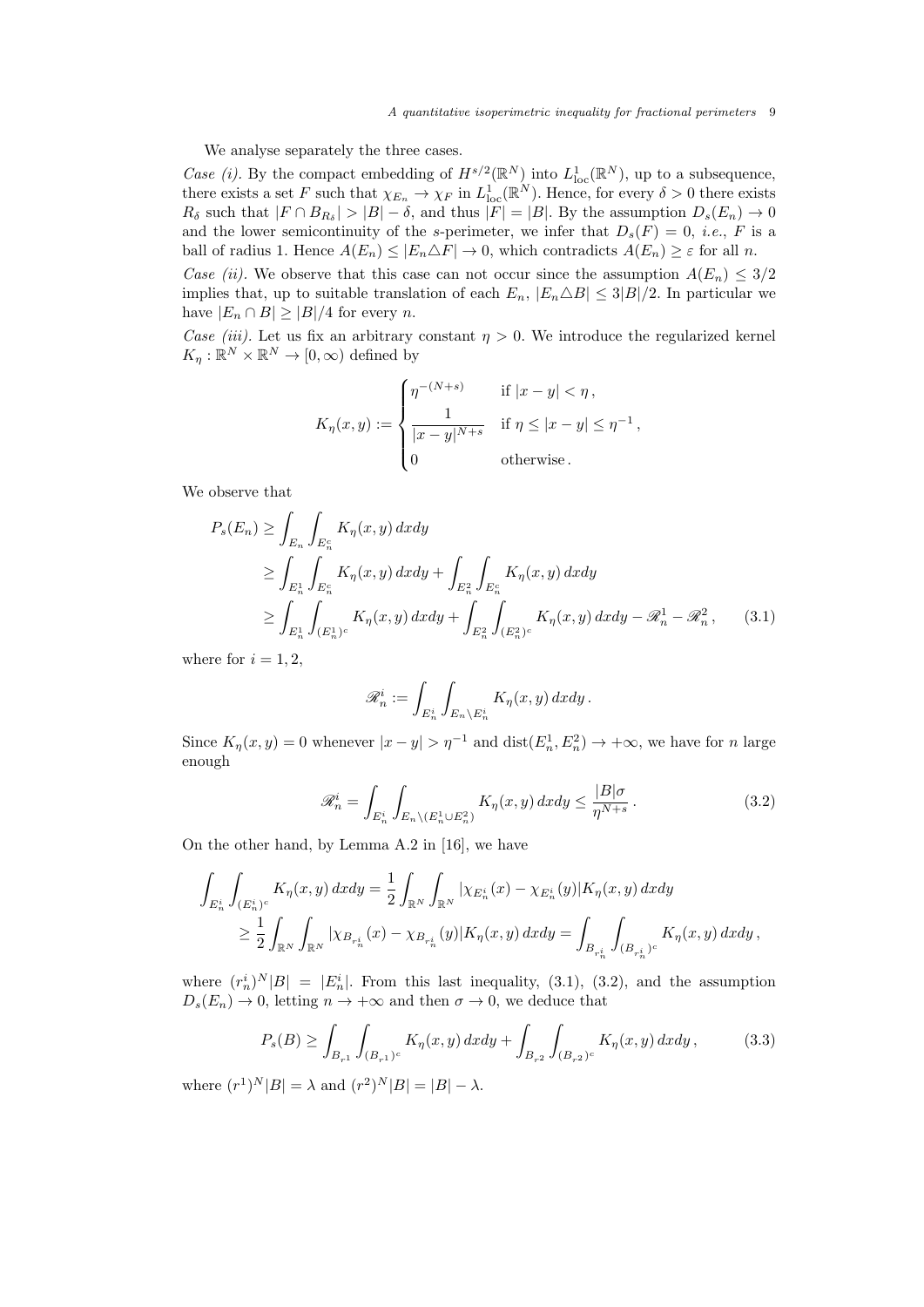We analyse separately the three cases.

Case (i). By the compact embedding of  $H^{s/2}(\mathbb{R}^N)$  into  $L^1_{loc}(\mathbb{R}^N)$ , up to a subsequence, there exists a set F such that  $\chi_{E_n} \to \chi_F$  in  $L^1_{loc}(\mathbb{R}^N)$ . Hence, for every  $\delta > 0$  there exists  $R_{\delta}$  such that  $|F \cap B_{R_{\delta}}| > |B| - \delta$ , and thus  $|F| = |B|$ . By the assumption  $D_s(E_n) \to 0$ and the lower semicontinuity of the s-perimeter, we infer that  $D_s(F) = 0$ , *i.e.*, F is a ball of radius 1. Hence  $A(E_n) \leq |E_n \triangle F| \to 0$ , which contradicts  $A(E_n) \geq \varepsilon$  for all n. Case (ii). We observe that this case can not occur since the assumption  $A(E_n) \leq 3/2$ 

implies that, up to suitable translation of each  $E_n$ ,  $|E_n \triangle B| \leq 3|B|/2$ . In particular we have  $|E_n \cap B| \geq |B|/4$  for every *n*.

Case (iii). Let us fix an arbitrary constant  $\eta > 0$ . We introduce the regularized kernel  $K_{\eta}: \mathbb{R}^N \times \mathbb{R}^N \to [0, \infty)$  defined by

$$
K_{\eta}(x,y) := \begin{cases} \eta^{-(N+s)} & \text{if } |x-y| < \eta \,, \\ \frac{1}{|x-y|^{N+s}} & \text{if } \eta \le |x-y| \le \eta^{-1} \,, \\ 0 & \text{otherwise} \,. \end{cases}
$$

We observe that

$$
P_s(E_n) \ge \int_{E_n} \int_{E_n^c} K_\eta(x, y) \, dx \, dy
$$
  
\n
$$
\ge \int_{E_n^1} \int_{E_n^c} K_\eta(x, y) \, dx \, dy + \int_{E_n^2} \int_{E_n^c} K_\eta(x, y) \, dx \, dy
$$
  
\n
$$
\ge \int_{E_n^1} \int_{(E_n^1)^c} K_\eta(x, y) \, dx \, dy + \int_{E_n^2} \int_{(E_n^2)^c} K_\eta(x, y) \, dx \, dy - \mathcal{R}_n^1 - \mathcal{R}_n^2, \tag{3.1}
$$

where for  $i = 1, 2$ ,

$$
\mathscr{R}_n^i := \int_{E_n^i} \int_{E_n \backslash E_n^i} K_\eta(x, y) \, dx dy \, .
$$

Since  $K_{\eta}(x, y) = 0$  whenever  $|x - y| > \eta^{-1}$  and  $dist(E_n^1, E_n^2) \to +\infty$ , we have for n large enough

$$
\mathscr{R}_n^i = \int_{E_n^i} \int_{E_n \setminus (E_n^1 \cup E_n^2)} K_\eta(x, y) \, dx dy \le \frac{|B|\sigma}{\eta^{N+s}}. \tag{3.2}
$$

On the other hand, by Lemma A.2 in [16], we have

$$
\int_{E_n^i} \int_{(E_n^i)^c} K_{\eta}(x, y) dx dy = \frac{1}{2} \int_{\mathbb{R}^N} \int_{\mathbb{R}^N} |\chi_{E_n^i}(x) - \chi_{E_n^i}(y)| K_{\eta}(x, y) dx dy \n\geq \frac{1}{2} \int_{\mathbb{R}^N} \int_{\mathbb{R}^N} |\chi_{B_{r_n^i}}(x) - \chi_{B_{r_n^i}}(y)| K_{\eta}(x, y) dx dy = \int_{B_{r_n^i}} \int_{(B_{r_n^i})^c} K_{\eta}(x, y) dx dy,
$$

where  $(r_n^i)^N|B| = |E_n^i|$ . From this last inequality, (3.1), (3.2), and the assumption  $D_s(E_n) \to 0$ , letting  $n \to +\infty$  and then  $\sigma \to 0$ , we deduce that

$$
P_s(B) \ge \int_{B_{r^1}} \int_{(B_{r^1})^c} K_\eta(x, y) \, dx dy + \int_{B_{r^2}} \int_{(B_{r^2})^c} K_\eta(x, y) \, dx dy, \tag{3.3}
$$

where  $(r^1)^N |B| = \lambda$  and  $(r^2)^N |B| = |B| - \lambda$ .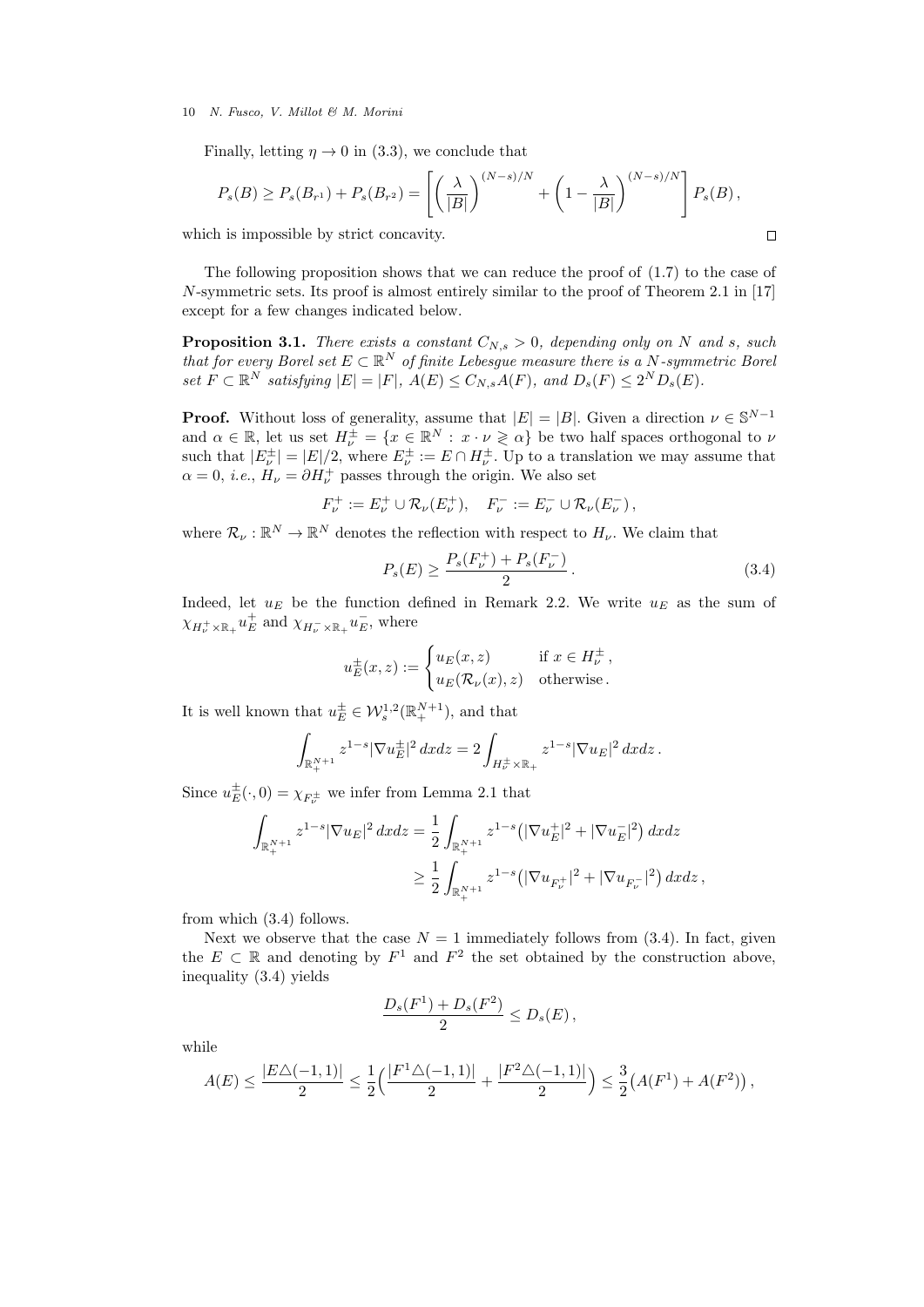Finally, letting  $\eta \to 0$  in (3.3), we conclude that

$$
P_s(B) \ge P_s(B_{r^1}) + P_s(B_{r^2}) = \left[ \left( \frac{\lambda}{|B|} \right)^{(N-s)/N} + \left( 1 - \frac{\lambda}{|B|} \right)^{(N-s)/N} \right] P_s(B),
$$
  
h is impossible by strict concavity.

which is impossible by strict concavity.

The following proposition shows that we can reduce the proof of (1.7) to the case of N-symmetric sets. Its proof is almost entirely similar to the proof of Theorem 2.1 in [17] except for a few changes indicated below.

**Proposition 3.1.** There exists a constant  $C_{N,s} > 0$ , depending only on N and s, such that for every Borel set  $E \subset \mathbb{R}^N$  of finite Lebesgue measure there is a N-symmetric Borel set  $F \subset \mathbb{R}^N$  satisfying  $|E| = |F|$ ,  $A(E) \leq C_{N,s}A(F)$ , and  $D_s(F) \leq 2^ND_s(E)$ .

**Proof.** Without loss of generality, assume that  $|E| = |B|$ . Given a direction  $\nu \in \mathbb{S}^{N-1}$ and  $\alpha \in \mathbb{R}$ , let us set  $H^{\pm}_{\nu} = \{x \in \mathbb{R}^{N} : x \cdot \nu \geq \alpha\}$  be two half spaces orthogonal to  $\nu$ such that  $|E^{\pm}_{\nu}| = |E|/2$ , where  $E^{\pm}_{\nu} := E \cap H^{\pm}_{\nu}$ . Up to a translation we may assume that  $\alpha = 0$ , *i.e.*,  $H_{\nu} = \partial H_{\nu}^{+}$  passes through the origin. We also set

$$
F_{\nu}^{+} := E_{\nu}^{+} \cup \mathcal{R}_{\nu}(E_{\nu}^{+}), \quad F_{\nu}^{-} := E_{\nu}^{-} \cup \mathcal{R}_{\nu}(E_{\nu}^{-}),
$$

where  $\mathcal{R}_{\nu} : \mathbb{R}^N \to \mathbb{R}^N$  denotes the reflection with respect to  $H_{\nu}$ . We claim that

$$
P_s(E) \ge \frac{P_s(F_\nu^+) + P_s(F_\nu^-)}{2} \,. \tag{3.4}
$$

Indeed, let  $u_E$  be the function defined in Remark 2.2. We write  $u_E$  as the sum of  $\chi_{H^+_{\nu}\times \mathbb{R}_+} u^+_E$  and  $\chi_{H^-_{\nu}\times \mathbb{R}_+} u^-_E$ , where

$$
u_E^{\pm}(x, z) := \begin{cases} u_E(x, z) & \text{if } x \in H_{\nu}^{\pm} ,\\ u_E(\mathcal{R}_{\nu}(x), z) & \text{otherwise.} \end{cases}
$$

It is well known that  $u_E^{\pm} \in \mathcal{W}_s^{1,2}(\mathbb{R}^{N+1}_+)$ , and that

$$
\int_{\mathbb{R}^{N+1}_+} z^{1-s} |\nabla u_E^{\pm}|^2 dx dz = 2 \int_{H^{\pm}_\nu \times \mathbb{R}_+} z^{1-s} |\nabla u_E|^2 dx dz.
$$

Since  $u_E^{\pm}(\cdot,0) = \chi_{F^{\pm}_{\nu}}$  we infer from Lemma 2.1 that

$$
\int_{\mathbb{R}_{+}^{N+1}} z^{1-s} |\nabla u_E|^2 dx dz = \frac{1}{2} \int_{\mathbb{R}_{+}^{N+1}} z^{1-s} (|\nabla u_E^+|^2 + |\nabla u_E^-|^2) dx dz
$$
  

$$
\geq \frac{1}{2} \int_{\mathbb{R}_{+}^{N+1}} z^{1-s} (|\nabla u_{F_{\nu}}^+|^2 + |\nabla u_{F_{\nu}}^+|^2) dx dz,
$$

from which (3.4) follows.

Next we observe that the case  $N = 1$  immediately follows from (3.4). In fact, given the  $E \subset \mathbb{R}$  and denoting by  $F^1$  and  $F^2$  the set obtained by the construction above, inequality (3.4) yields

$$
\frac{D_s(F^1) + D_s(F^2)}{2} \le D_s(E)\,,
$$

while

$$
A(E) \le \frac{|E\triangle(-1,1)|}{2} \le \frac{1}{2} \Big( \frac{|F^1\triangle(-1,1)|}{2} + \frac{|F^2\triangle(-1,1)|}{2} \Big) \le \frac{3}{2} \big( A(F^1) + A(F^2) \big) \,,
$$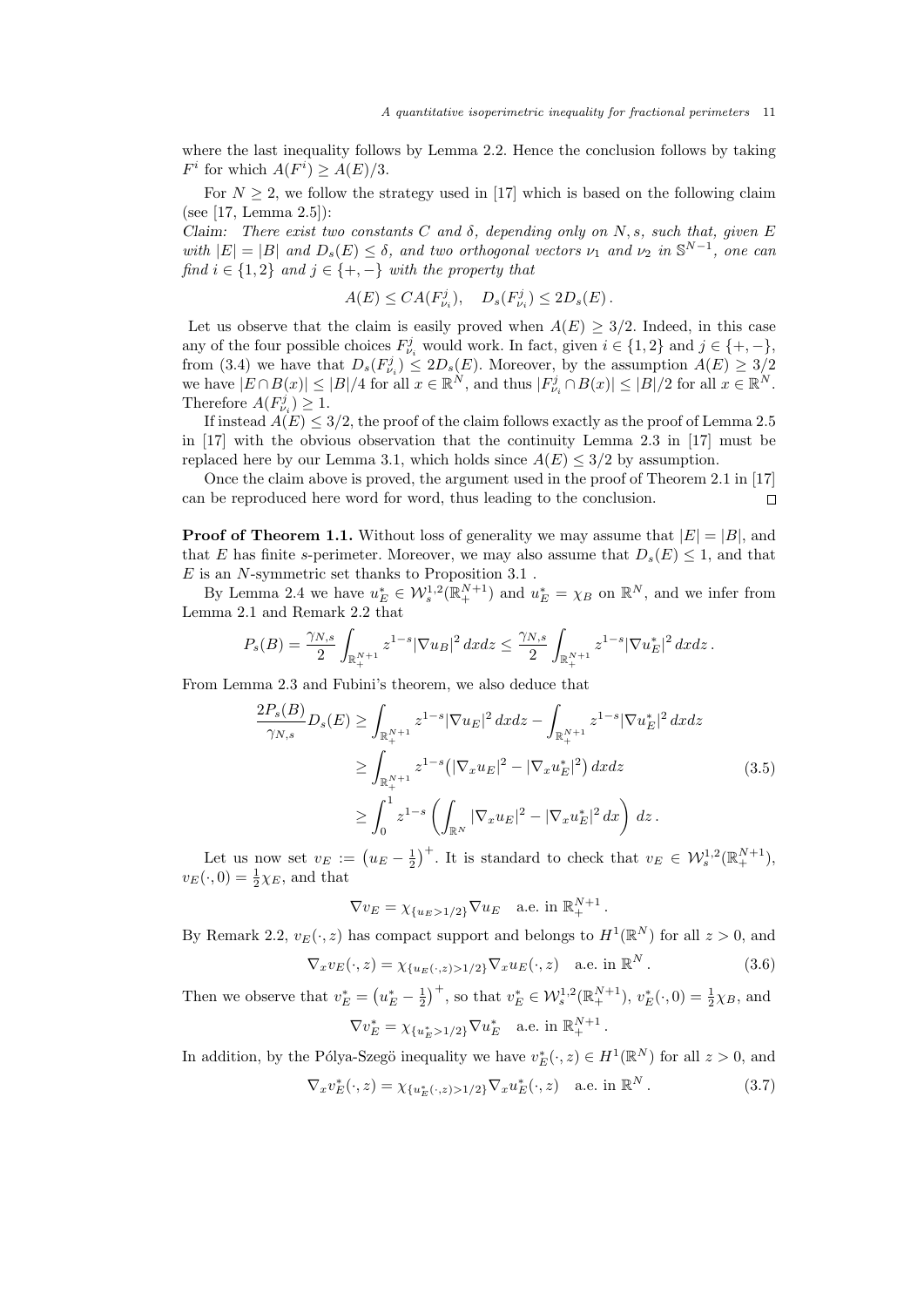where the last inequality follows by Lemma 2.2. Hence the conclusion follows by taking  $F^i$  for which  $A(F^i) \ge A(E)/3$ .

For  $N \geq 2$ , we follow the strategy used in [17] which is based on the following claim (see [17, Lemma 2.5]):

Claim: There exist two constants C and  $\delta$ , depending only on N, s, such that, given E with  $|E| = |B|$  and  $D_s(E) \leq \delta$ , and two orthogonal vectors  $\nu_1$  and  $\nu_2$  in  $\mathbb{S}^{N-1}$ , one can find  $i \in \{1,2\}$  and  $j \in \{+, -\}$  with the property that

$$
A(E) \leq CA(F_{\nu_i}^j), \quad D_s(F_{\nu_i}^j) \leq 2D_s(E).
$$

Let us observe that the claim is easily proved when  $A(E) \geq 3/2$ . Indeed, in this case any of the four possible choices  $F_{\nu_i}^j$  would work. In fact, given  $i \in \{1,2\}$  and  $j \in \{+,-\}$ , from (3.4) we have that  $D_s(F_{\nu_i}^j) \leq 2D_s(E)$ . Moreover, by the assumption  $A(E) \geq 3/2$ we have  $|E \cap B(x)| \leq |B|/4$  for all  $x \in \mathbb{R}^N$ , and thus  $|F_{\nu_i}^j \cap B(x)| \leq |B|/2$  for all  $x \in \mathbb{R}^N$ . Therefore  $A(F_{\nu_i}^j) \geq 1$ .

If instead  $A(E) \leq 3/2$ , the proof of the claim follows exactly as the proof of Lemma 2.5 in [17] with the obvious observation that the continuity Lemma 2.3 in [17] must be replaced here by our Lemma 3.1, which holds since  $A(E) \leq 3/2$  by assumption.

Once the claim above is proved, the argument used in the proof of Theorem 2.1 in [17] can be reproduced here word for word, thus leading to the conclusion.  $\Box$ 

**Proof of Theorem 1.1.** Without loss of generality we may assume that  $|E| = |B|$ , and that E has finite s-perimeter. Moreover, we may also assume that  $D_s(E) \leq 1$ , and that  $\cal E$  is an  $N$  -symmetric set thanks to Proposition  $3.1$  .

By Lemma 2.4 we have  $u_E^* \in \mathcal{W}_s^{1,2}(\mathbb{R}_+^{N+1})$  and  $u_E^* = \chi_B$  on  $\mathbb{R}^N$ , and we infer from Lemma 2.1 and Remark 2.2 that

$$
P_s(B) = \frac{\gamma_{N,s}}{2} \int_{\mathbb{R}^{N+1}_+} z^{1-s} |\nabla u_B|^2 dx dz \le \frac{\gamma_{N,s}}{2} \int_{\mathbb{R}^{N+1}_+} z^{1-s} |\nabla u_E^*|^2 dx dz.
$$

From Lemma 2.3 and Fubini's theorem, we also deduce that

$$
\frac{2P_s(B)}{\gamma_{N,s}} D_s(E) \ge \int_{\mathbb{R}_+^{N+1}} z^{1-s} |\nabla u_E|^2 dx dz - \int_{\mathbb{R}_+^{N+1}} z^{1-s} |\nabla u_E^*|^2 dx dz
$$
\n
$$
\ge \int_{\mathbb{R}_+^{N+1}} z^{1-s} (|\nabla_x u_E|^2 - |\nabla_x u_E^*|^2) dx dz \tag{3.5}
$$
\n
$$
\ge \int_0^1 z^{1-s} \left( \int_{\mathbb{R}^N} |\nabla_x u_E|^2 - |\nabla_x u_E^*|^2 dx \right) dz.
$$

Let us now set  $v_E := (u_E - \frac{1}{2})^+$ . It is standard to check that  $v_E \in \mathcal{W}^{1,2}_s(\mathbb{R}^{N+1}_+)$ ,  $v_E(\cdot, 0) = \frac{1}{2}\chi_E$ , and that

$$
\nabla v_E = \chi_{\{u_E > 1/2\}} \nabla u_E \quad \text{a.e. in } \mathbb{R}_+^{N+1}.
$$

By Remark 2.2,  $v_E(\cdot, z)$  has compact support and belongs to  $H^1(\mathbb{R}^N)$  for all  $z > 0$ , and

$$
\nabla_x v_E(\cdot, z) = \chi_{\{u_E(\cdot, z) > 1/2\}} \nabla_x u_E(\cdot, z) \quad \text{a.e. in } \mathbb{R}^N. \tag{3.6}
$$

Then we observe that  $v_E^* = (u_E^* - \frac{1}{2})^+$ , so that  $v_E^* \in \mathcal{W}_s^{1,2}(\mathbb{R}_+^{N+1}), v_E^*(\cdot, 0) = \frac{1}{2}\chi_B$ , and

$$
\nabla v_E^* = \chi_{\{u_E^*>1/2\}} \nabla u_E^* \quad \text{a.e. in } \mathbb{R}_+^{N+1}.
$$

In addition, by the Pólya-Szegö inequality we have  $v_E^*(\cdot, z) \in H^1(\mathbb{R}^N)$  for all  $z > 0$ , and

$$
\nabla_x v_E^*(\cdot, z) = \chi_{\{u_E^*(\cdot, z) > 1/2\}} \nabla_x u_E^*(\cdot, z) \quad \text{a.e. in } \mathbb{R}^N. \tag{3.7}
$$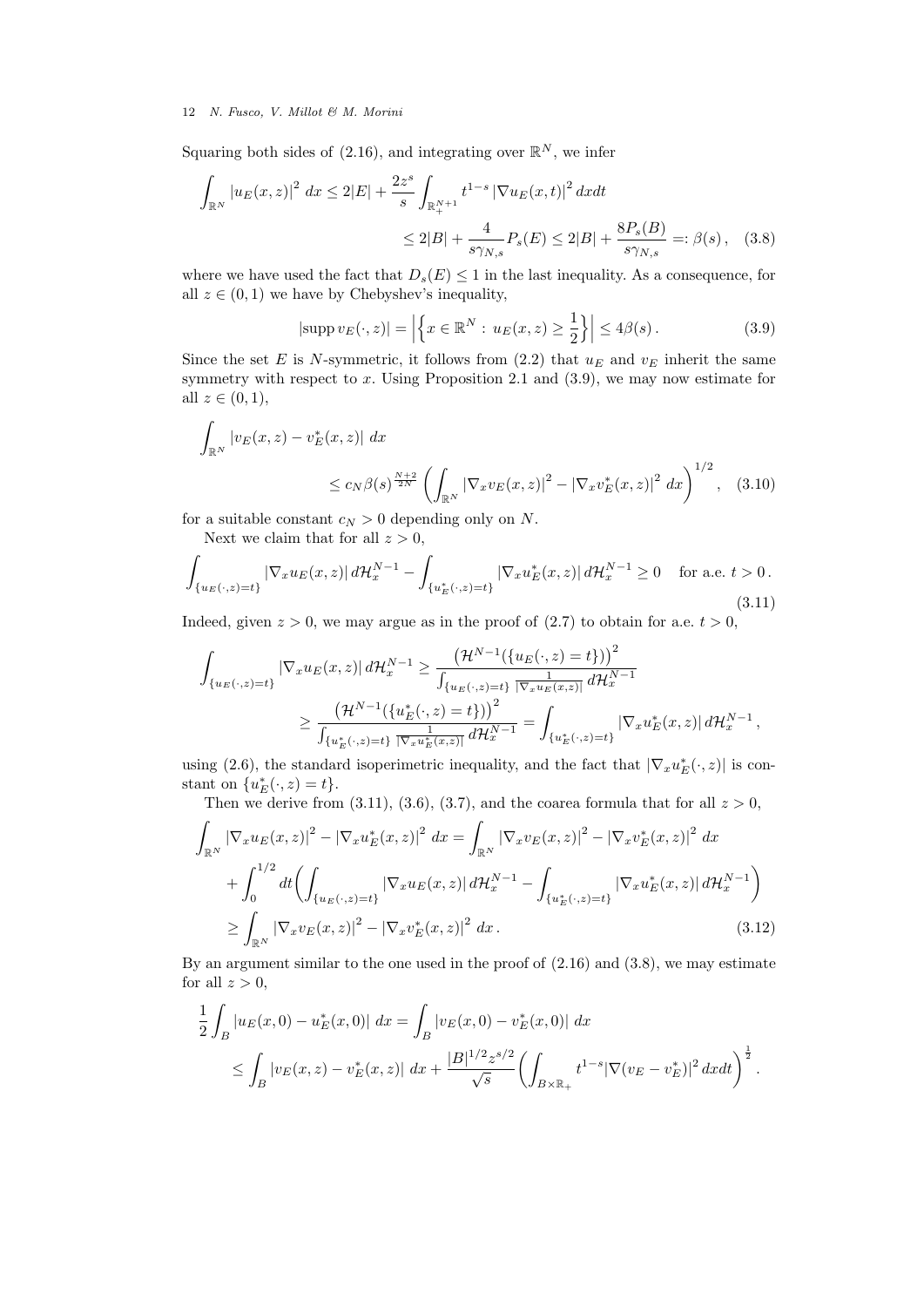Squaring both sides of (2.16), and integrating over  $\mathbb{R}^N$ , we infer

$$
\int_{\mathbb{R}^N} |u_E(x, z)|^2 dx \le 2|E| + \frac{2z^s}{s} \int_{\mathbb{R}^{N+1}_+} t^{1-s} |\nabla u_E(x, t)|^2 dx dt
$$
  

$$
\le 2|B| + \frac{4}{s\gamma_{N,s}} P_s(E) \le 2|B| + \frac{8P_s(B)}{s\gamma_{N,s}} =: \beta(s), \quad (3.8)
$$

where we have used the fact that  $D_s(E) \leq 1$  in the last inequality. As a consequence, for all  $z \in (0, 1)$  we have by Chebyshev's inequality,

$$
|\text{supp } v_E(\cdot, z)| = \left| \left\{ x \in \mathbb{R}^N : u_E(x, z) \ge \frac{1}{2} \right\} \right| \le 4\beta(s).
$$
 (3.9)

Since the set E is N-symmetric, it follows from  $(2.2)$  that  $u_E$  and  $v_E$  inherit the same symmetry with respect to  $x$ . Using Proposition 2.1 and  $(3.9)$ , we may now estimate for all  $z \in (0,1)$ ,

$$
\int_{\mathbb{R}^N} |v_E(x, z) - v_E^*(x, z)| dx
$$
\n
$$
\leq c_N \beta(s)^{\frac{N+2}{2N}} \left( \int_{\mathbb{R}^N} |\nabla_x v_E(x, z)|^2 - |\nabla_x v_E^*(x, z)|^2 dx \right)^{1/2}, \quad (3.10)
$$

for a suitable constant  $c_N > 0$  depending only on N.

Next we claim that for all  $z > 0$ ,

$$
\int_{\{u_E(\cdot,z)=t\}} |\nabla_x u_E(x,z)| d\mathcal{H}_x^{N-1} - \int_{\{u_E^*(\cdot,z)=t\}} |\nabla_x u_E^*(x,z)| d\mathcal{H}_x^{N-1} \ge 0 \quad \text{for a.e. } t > 0.
$$
\n(3.11)

Indeed, given  $z > 0$ , we may argue as in the proof of (2.7) to obtain for a.e.  $t > 0$ ,

$$
\int_{\{u_E(\cdot,z)=t\}} |\nabla_x u_E(x,z)| d\mathcal{H}_x^{N-1} \geq \frac{\left(\mathcal{H}^{N-1}(\{u_E(\cdot,z)=t\})\right)^2}{\int_{\{u_E(\cdot,z)=t\}} \frac{1}{|\nabla_x u_E(x,z)|} d\mathcal{H}_x^{N-1}} \geq \frac{\left(\mathcal{H}^{N-1}(\{u_E^*(\cdot,z)=t\})\right)^2}{\int_{\{u_E^*(\cdot,z)=t\}} \frac{1}{|\nabla_x u_E^*(x,z)|} d\mathcal{H}_x^{N-1}} = \int_{\{u_E^*(\cdot,z)=t\}} |\nabla_x u_E^*(x,z)| d\mathcal{H}_x^{N-1},
$$

using (2.6), the standard isoperimetric inequality, and the fact that  $|\nabla_x u_E^*(\cdot, z)|$  is constant on  $\{u_E^*(\cdot,z)=t\}.$ 

Then we derive from (3.11), (3.6), (3.7), and the coarea formula that for all  $z > 0$ ,

$$
\int_{\mathbb{R}^N} |\nabla_x u_E(x, z)|^2 - |\nabla_x u_E^*(x, z)|^2 dx = \int_{\mathbb{R}^N} |\nabla_x v_E(x, z)|^2 - |\nabla_x v_E^*(x, z)|^2 dx \n+ \int_0^{1/2} dt \left( \int_{\{u_E(\cdot, z) = t\}} |\nabla_x u_E(x, z)| d\mathcal{H}_x^{N-1} - \int_{\{u_E^*(\cdot, z) = t\}} |\nabla_x u_E^*(x, z)| d\mathcal{H}_x^{N-1} \right) \n\geq \int_{\mathbb{R}^N} |\nabla_x v_E(x, z)|^2 - |\nabla_x v_E^*(x, z)|^2 dx.
$$
\n(3.12)

By an argument similar to the one used in the proof of (2.16) and (3.8), we may estimate for all  $z > 0$ ,

$$
\frac{1}{2} \int_{B} |u_{E}(x,0) - u_{E}^{*}(x,0)| dx = \int_{B} |v_{E}(x,0) - v_{E}^{*}(x,0)| dx
$$
\n
$$
\leq \int_{B} |v_{E}(x,z) - v_{E}^{*}(x,z)| dx + \frac{|B|^{1/2}z^{s/2}}{\sqrt{s}} \left(\int_{B \times \mathbb{R}_{+}} t^{1-s} |\nabla(v_{E} - v_{E}^{*})|^{2} dx dt\right)^{\frac{1}{2}}.
$$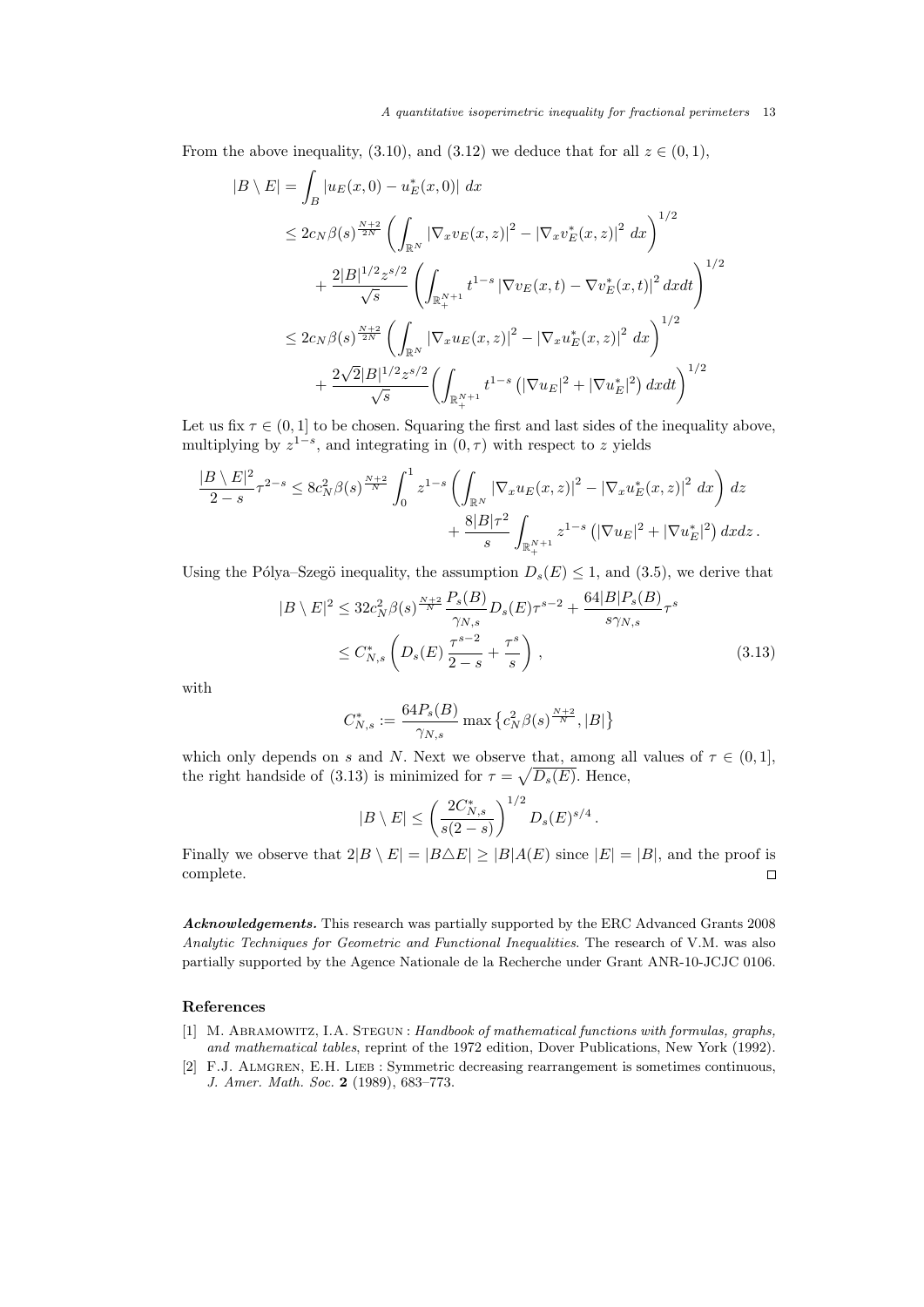#### A quantitative isoperimetric inequality for fractional perimeters 13

From the above inequality, (3.10), and (3.12) we deduce that for all  $z \in (0,1)$ ,

$$
|B \setminus E| = \int_{B} |u_{E}(x,0) - u_{E}^{*}(x,0)| dx
$$
  
\n
$$
\leq 2c_{N}\beta(s)^{\frac{N+2}{2N}} \left( \int_{\mathbb{R}^{N}} |\nabla_{x}v_{E}(x,z)|^{2} - |\nabla_{x}v_{E}^{*}(x,z)|^{2} dx \right)^{1/2}
$$
  
\n
$$
+ \frac{2|B|^{1/2}z^{s/2}}{\sqrt{s}} \left( \int_{\mathbb{R}^{N+1}} t^{1-s} |\nabla v_{E}(x,t) - \nabla v_{E}^{*}(x,t)|^{2} dx dt \right)^{1/2}
$$
  
\n
$$
\leq 2c_{N}\beta(s)^{\frac{N+2}{2N}} \left( \int_{\mathbb{R}^{N}} |\nabla_{x}u_{E}(x,z)|^{2} - |\nabla_{x}u_{E}^{*}(x,z)|^{2} dx \right)^{1/2}
$$
  
\n
$$
+ \frac{2\sqrt{2}|B|^{1/2}z^{s/2}}{\sqrt{s}} \left( \int_{\mathbb{R}^{N+1}_{+}} t^{1-s} \left( |\nabla u_{E}|^{2} + |\nabla u_{E}^{*}|^{2} \right) dx dt \right)^{1/2}
$$

Let us fix  $\tau \in (0,1]$  to be chosen. Squaring the first and last sides of the inequality above, multiplying by  $z^{1-s}$ , and integrating in  $(0, \tau)$  with respect to z yields

$$
\frac{|B \setminus E|^2}{2-s} \tau^{2-s} \le 8c_N^2 \beta(s)^{\frac{N+2}{N}} \int_0^1 z^{1-s} \left( \int_{\mathbb{R}^N} |\nabla_x u_E(x, z)|^2 - |\nabla_x u_E^*(x, z)|^2 dx \right) dz \n+ \frac{8|B|\tau^2}{s} \int_{\mathbb{R}^{N+1}_+} z^{1-s} \left( |\nabla u_E|^2 + |\nabla u_E^*|^2 \right) dx dz.
$$

Using the Pólya–Szegö inequality, the assumption  $D_s(E) \leq 1$ , and (3.5), we derive that

$$
|B \setminus E|^2 \le 32c_N^2 \beta(s)^{\frac{N+2}{N}} \frac{P_s(B)}{\gamma_{N,s}} D_s(E) \tau^{s-2} + \frac{64|B|P_s(B)}{s\gamma_{N,s}} \tau^s
$$
  
 
$$
\le C_{N,s}^* \left(D_s(E) \frac{\tau^{s-2}}{2-s} + \frac{\tau^s}{s}\right), \tag{3.13}
$$

with

$$
C_{N,s}^* := \frac{64P_s(B)}{\gamma_{N,s}} \max \left\{ c_N^2 \beta(s)^{\frac{N+2}{N}}, |B| \right\}
$$

which only depends on s and N. Next we observe that, among all values of  $\tau \in (0,1]$ , the right handside of (3.13) is minimized for  $\tau = \sqrt{D_s(E)}$ . Hence,

$$
|B \setminus E| \le \left(\frac{2C_{N,s}^*}{s(2-s)}\right)^{1/2} D_s(E)^{s/4}.
$$

Finally we observe that  $2|B \setminus E| = |B \triangle E| \ge |B|A(E)$  since  $|E| = |B|$ , and the proof is complete.  $\Box$ 

Acknowledgements. This research was partially supported by the ERC Advanced Grants 2008 Analytic Techniques for Geometric and Functional Inequalities. The research of V.M. was also partially supported by the Agence Nationale de la Recherche under Grant ANR-10-JCJC 0106.

# References

- [1] M. Abramowitz, I.A. Stegun : Handbook of mathematical functions with formulas, graphs, and mathematical tables, reprint of the 1972 edition, Dover Publications, New York (1992).
- [2] F.J. Almgren, E.H. Lieb : Symmetric decreasing rearrangement is sometimes continuous, J. Amer. Math. Soc. 2 (1989), 683–773.